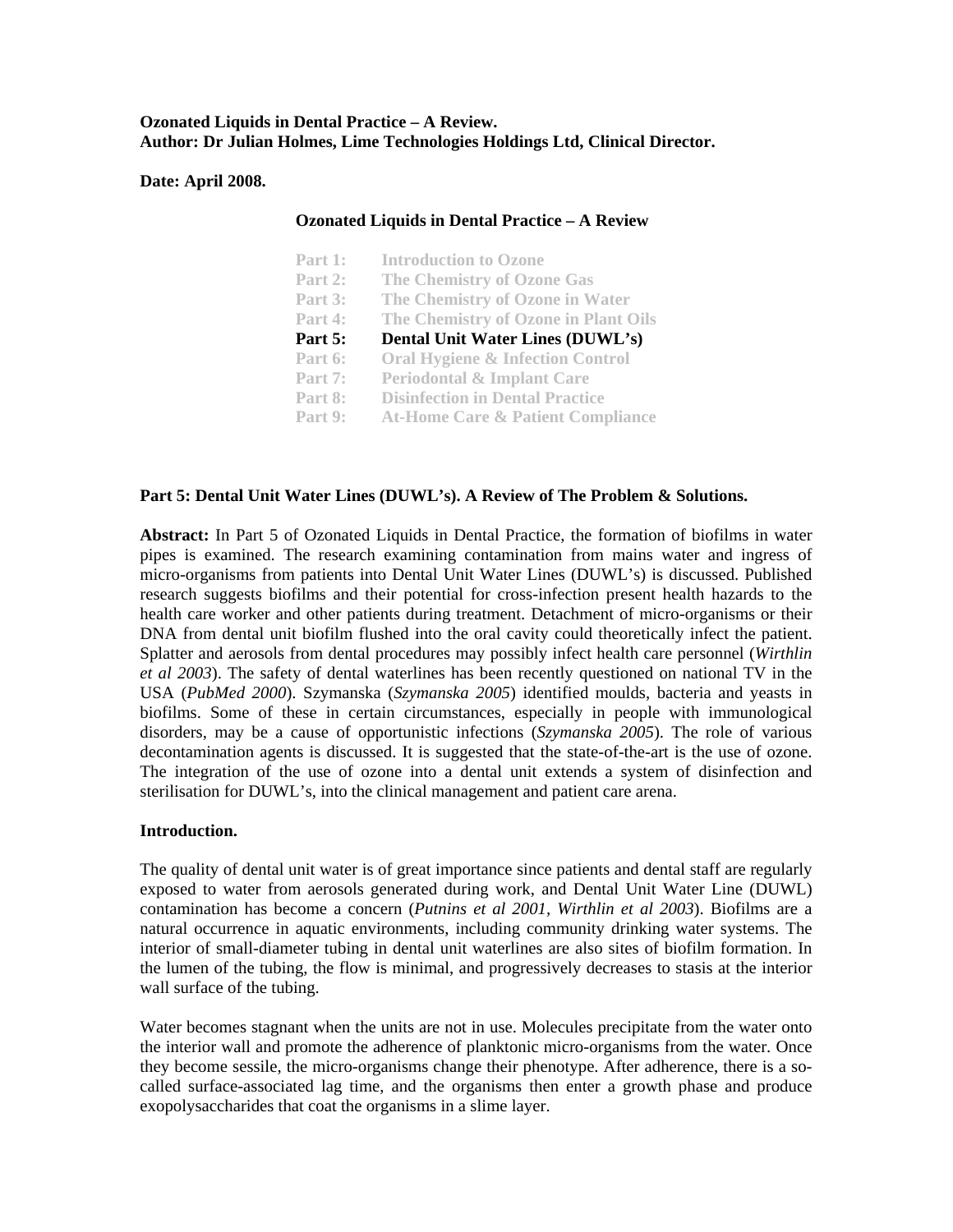# **Ozonated Liquids in Dental Practice – A Review. Author: Dr Julian Holmes, Lime Technologies Holdings Ltd, Clinical Director.**

### **Date: April 2008.**

### **Ozonated Liquids in Dental Practice – A Review**

| Part 1: | <b>Introduction to Ozone</b>                 |
|---------|----------------------------------------------|
| Part 2: | <b>The Chemistry of Ozone Gas</b>            |
| Part 3: | The Chemistry of Ozone in Water              |
| Part 4: | The Chemistry of Ozone in Plant Oils         |
| Part 5: | Dental Unit Water Lines (DUWL's)             |
| Part 6: | <b>Oral Hygiene &amp; Infection Control</b>  |
| Part 7: | <b>Periodontal &amp; Implant Care</b>        |
| Part 8: | <b>Disinfection in Dental Practice</b>       |
| Part 9: | <b>At-Home Care &amp; Patient Compliance</b> |

## Part 5: Dental Unit Water Lines (DUWL's). A Review of The Problem & Solutions.

**Abstract:** In Part 5 of Ozonated Liquids in Dental Practice, the formation of biofilms in water pipes is examined. The research examining contamination from mains water and ingress of micro-organisms from patients into Dental Unit Water Lines (DUWL's) is discussed. Published health care worker and other patients during treatment. Detachment of micro-organisms or their research suggests biofilms and their potential for cross-infection present health hazards to the DNA from dental unit biofilm flushed into the oral cavity could theoretically infect the patient. Splatter and aerosols from dental procedures may possibly infect health care personnel (*Wirthlin et al 2003*). The safety of dental waterlines has been recently questioned on national TV in the USA (*PubMed 2000*). Szymanska (*Szymanska 2005*) identified moulds, bacteria and yeasts in biofilms. Some of these in certain circumstances, especially in people with immunological disorders, may be a cause of opportunistic infections (*Szymanska 2005*). The role of various decontamination agents is discussed. It is suggested that the state-of-the-art is the use of ozone. The integration of the use of ozone into a dental unit extends a system of disinfection and sterilisation for DUWL's, into the clinical management and patient care arena.

### **Introduction.**

contamination has become a concern (*Putnins et al 2001*, Wirthlin et al 2003). Biofilms are a natural occurrence in aquatic environments, including community drinking water systems. The interior of small-diameter tubing in dental unit waterlines are also sites of biofilm formation. In The quality of dental unit water is of great importance since patients and dental staff are regularly exposed to water from aerosols generated during work, and Dental Unit Water Line (DUWL) the lumen of the tubing, the flow is minimal, and progressively decreases to stasis at the interior wall surface of the tubing.

exopolysaccharides that coat the organisms in a slime layer. Water becomes stagnant when the units are not in use. Molecules precipitate from the water onto the interior wall and promote the adherence of planktonic micro-organisms from the water. Once they become sessile, the micro-organisms change their phenotype. After adherence, there is a socalled surface-associated lag time, and the organisms then enter a growth phase and produce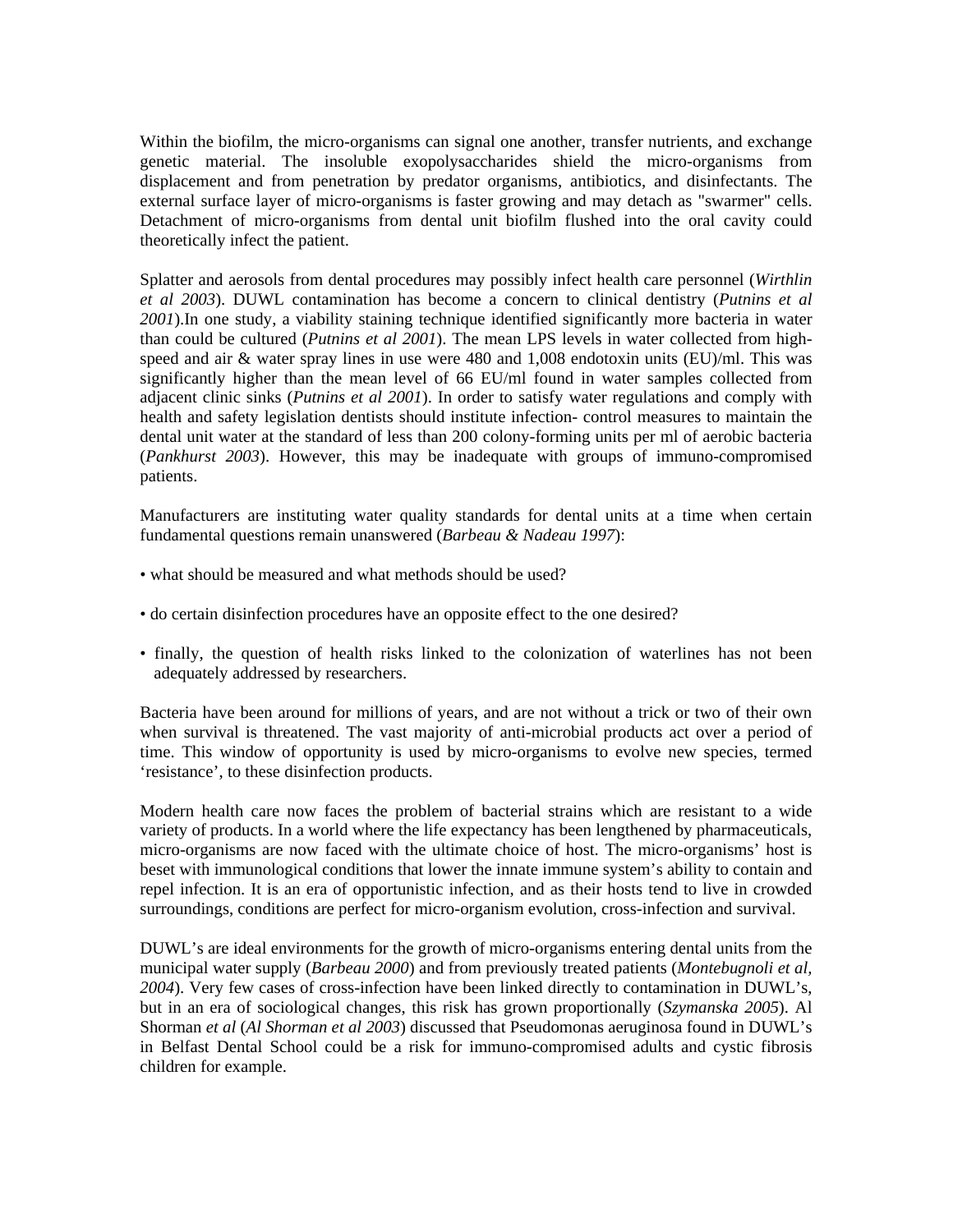Within the biofilm, the micro-organisms can signal one another, transfer nutrients, and exchange genetic material. The insoluble exopolysaccharides shield the micro-organisms from displacement and from penetration by predator organisms, antibiotics, and disinfectants. The external surface layer of micro-organisms is faster growing and may detach as "swarmer" cells. Detachment of micro-organisms from dental unit biofilm flushed into the oral cavity could theoretically infect the patient.

speed and air  $\&$  water spray lines in use were 480 and 1,008 endotoxin units (EU)/ml. This was significantly higher than the mean level of 66 EU/ml found in water samples collected from Splatter and aerosols from dental procedures may possibly infect health care personnel (*Wirthlin et al 2003*). DUWL contamination has become a concern to clinical dentistry (*Putnins et al 2001*).In one study, a viability staining technique identified significantly more bacteria in water than could be cultured (*Putnins et al 2001*). The mean LPS levels in water collected from highadjacent clinic sinks (*Putnins et al 2001*). In order to satisfy water regulations and comply with health and safety legislation dentists should institute infection- control measures to maintain the dental unit water at the standard of less than 200 colony-forming units per ml of aerobic bacteria (*Pankhurst 2003*). However, this may be inadequate with groups of immuno-compromised patients.

Manufacturers are instituting water quality standards for dental units at a time when certain fundamental questions remain unanswered (*Barbeau & Nadeau 1997*):

- what should be measured and what methods should be used?
- do certain disinfection procedures have an opposite effect to the one desired?
- finally, the question of health risks linked to the colonization of waterlines has not been adequately addressed by researchers.

Bacteria have been around for millions of years, and are not without a trick or two of their own when survival is threatened. The vast majority of anti-microbial products act over a period of time. This window of opportunity is used by micro-organisms to evolve new species, termed 'resistance', to these disinfection products.

Modern health care now faces the problem of bacterial strains which are resistant to a wide repel infection. It is an era of opportunistic infection, and as their hosts tend to live in crowded surroundings, conditions are perfect for micro-organism evolution, cross-infection and survival. variety of products. In a world where the life expectancy has been lengthened by pharmaceuticals, micro-organisms are now faced with the ultimate choice of host. The micro-organisms' host is beset with immunological conditions that lower the innate immune system's ability to contain and

in Belfast Dental School could be a risk for immuno-compromised adults and cystic fibrosis DUWL's are ideal environments for the growth of micro-organisms entering dental units from the municipal water supply (*Barbeau 2000*) and from previously treated patients (*Montebugnoli et al, 2004*). Very few cases of cross-infection have been linked directly to contamination in DUWL's, but in an era of sociological changes, this risk has grown proportionally (*Szymanska 2005*). Al Shorman *et al* (*Al Shorman et al 2003*) discussed that Pseudomonas aeruginosa found in DUWL's children for example.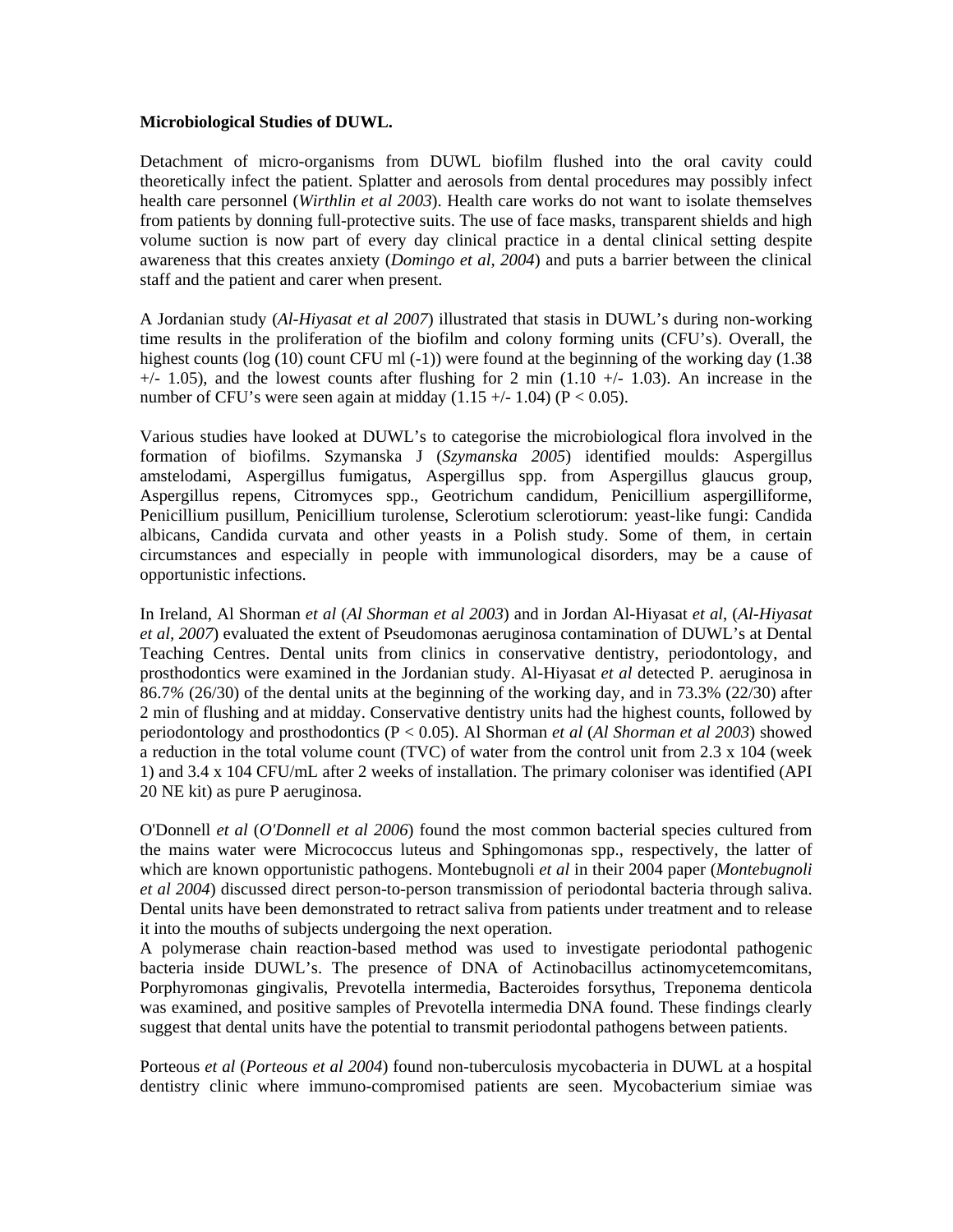#### **Microbiological Studies of DUWL.**

Detachment of micro-organisms from DUWL biofilm flushed into the oral cavity could theoretically infect the patient. Splatter and aerosols from dental procedures may possibly infect health care personnel (*Wirthlin et al 2003*). Health care works do not want to isolate themselves from patients by donning full-protective suits. The use of face masks, transparent shields and high volume suction is now part of every day clinical practice in a dental clinical setting despite wareness that this creates anxiety (*Domingo et al, 2004*) and puts a barrier between the clinical a staff and the patient and carer when present.

number of CFU's were seen again at midday  $(1.15 +/- 1.04)$  (P < 0.05). A Jordanian study (*Al-Hiyasat et al 2007*) illustrated that stasis in DUWL's during non-working time results in the proliferation of the biofilm and colony forming units (CFU's). Overall, the highest counts (log (10) count CFU ml (-1)) were found at the beginning of the working day (1.38  $+/-$  1.05), and the lowest counts after flushing for 2 min (1.10  $+/-$  1.03). An increase in the

Penicillium pusillum, Penicillium turolense, Sclerotium sclerotiorum: yeast-like fungi: Candida albicans, Candida curvata and other yeasts in a Polish study. Some of them, in certain Various studies have looked at DUWL's to categorise the microbiological flora involved in the formation of biofilms. Szymanska J (*Szymanska 2005*) identified moulds: Aspergillus amstelodami, Aspergillus fumigatus, Aspergillus spp. from Aspergillus glaucus group, Aspergillus repens, Citromyces spp., Geotrichum candidum, Penicillium aspergilliforme, circumstances and especially in people with immunological disorders, may be a cause of opportunistic infections.

86.7% (26/30) of the dental units at the beginning of the working day, and in 73.3% (22/30) after 2 min of flushing and at midday. Conservative dentistry units had the highest counts, followed by In Ireland, Al Shorman *et al* (*Al Shorman et al 2003*) and in Jordan Al-Hiyasat *et al*, (*Al-Hiyasat et al, 2007*) evaluated the extent of Pseudomonas aeruginosa contamination of DUWL's at Dental Teaching Centres. Dental units from clinics in conservative dentistry, periodontology, and prosthodontics were examined in the Jordanian study. Al-Hiyasat *et al* detected P. aeruginosa in periodontology and prosthodontics (P < 0.05). Al Shorman *et al* (*Al Shorman et al 2003*) showed a reduction in the total volume count (TVC) of water from the control unit from  $2.3 \times 104$  (week 1) and 3.4 x 104 CFU/mL after 2 weeks of installation. The primary coloniser was identified (API 20 NE kit) as pure P aeruginosa.

Dental units have been demonstrated to retract saliva from patients under treatment and to release it into the mouths of subjects undergoing the next operation. O'Donnell *et al* (*O'Donnell et al 2006*) found the most common bacterial species cultured from the mains water were Micrococcus luteus and Sphingomonas spp., respectively, the latter of which are known opportunistic pathogens. Montebugnoli *et al* in their 2004 paper (*Montebugnoli et al 2004*) discussed direct person-to-person transmission of periodontal bacteria through saliva.

A polymerase chain reaction-based method was used to investigate periodontal pathogenic bacteria inside DUWL's. The presence of DNA of Actinobacillus actinomycetemcomitans, Porphyromonas gingivalis, Prevotella intermedia, Bacteroides forsythus, Treponema denticola was examined, and positive samples of Prevotella intermedia DNA found. These findings clearly suggest that dental units have the potential to transmit periodontal pathogens between patients.

Porteous *et al* (*Porteous et al 2004*) found non-tuberculosis mycobacteria in DUWL at a hospital dentistry clinic where immuno-compromised patients are seen. Mycobacterium simiae was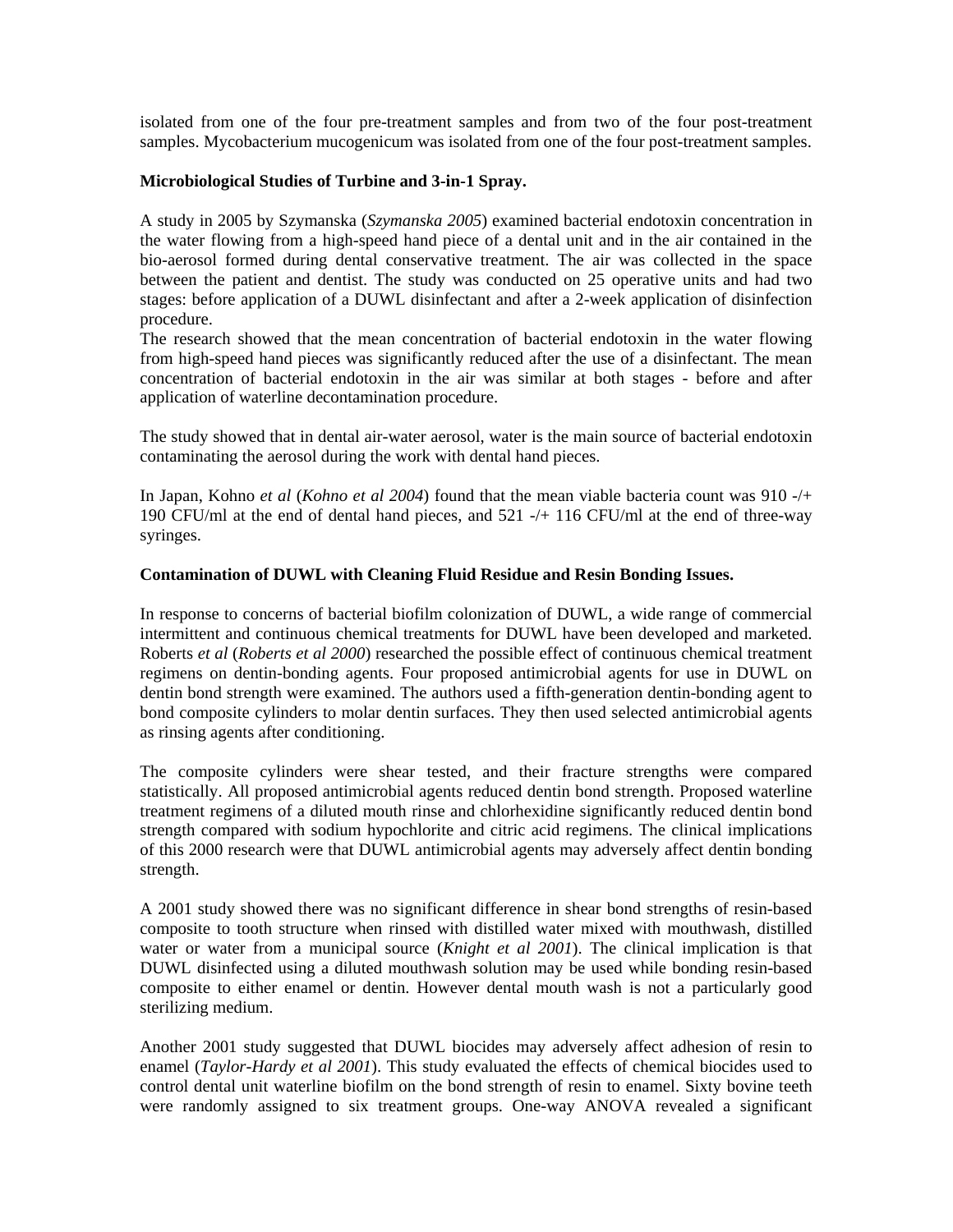isolated from one of the four pre-treatment samples and from two of the four post-treatment samples. Mycobacterium mucogenicum was isolated from one of the four post-treatment samples.

## **Microbiological Studies of Turbine and 3-in-1 Spray.**

bio-aerosol formed during dental conservative treatment. The air was collected in the space between the patient and dentist. The study was conducted on 25 operative units and had two stages: before application of a DUWL disinfectant and after a 2-week application of disinfection A study in 2005 by Szymanska (*Szymanska 2005*) examined bacterial endotoxin concentration in the water flowing from a high-speed hand piece of a dental unit and in the air contained in the procedure.

The research showed that the mean concentration of bacterial endotoxin in the water flowing from high-speed hand pieces was significantly reduced after the use of a disinfectant. The mean concentration of bacterial endotoxin in the air was similar at both stages - before and after application of waterline decontamination procedure.

The study showed that in dental air-water aerosol, water is the main source of bacterial endotoxin contaminating the aerosol during the work with dental hand pieces.

In Japan, Kohno *et al (Kohno et al 2004)* found that the mean viable bacteria count was 910 -/+ 190 CFU/ml at the end of dental hand pieces, and 521 -/+ 116 CFU/ml at the end of three-way syringes.

## Contamination of DUWL with Cleaning Fluid Residue and Resin Bonding Issues.

intermittent and continuous chemical treatments for DUWL have been developed and marketed. Roberts et al (Roberts et al 2000) researched the possible effect of continuous chemical treatment regimens on dentin-bonding agents. Four proposed antimicrobial agents for use in DUWL on dentin bond strength were examined. The authors used a fifth-generation dentin-bonding agent to In response to concerns of bacterial biofilm colonization of DUWL, a wide range of commercial bond composite cylinders to molar dentin surfaces. They then used selected antimicrobial agents as rinsing agents after conditioning.

strength compared with sodium hypochlorite and citric acid regimens. The clinical implications of this 2000 research were that DUWL antimicrobial agents may adversely affect dentin bonding The composite cylinders were shear tested, and their fracture strengths were compared statistically. All proposed antimicrobial agents reduced dentin bond strength. Proposed waterline treatment regimens of a diluted mouth rinse and chlorhexidine significantly reduced dentin bond strength.

DUWL disinfected using a diluted mouthwash solution may be used while bonding resin-based omposite to either enamel or dentin. However dental mouth wash is not a particularly good c A 2001 study showed there was no significant difference in shear bond strengths of resin-based composite to tooth structure when rinsed with distilled water mixed with mouthwash, distilled water or water from a municipal source (*Knight et al 2001*). The clinical implication is that sterilizing medium.

were randomly assigned to six treatment groups. One-way ANOVA revealed a significant Another 2001 study suggested that DUWL biocides may adversely affect adhesion of resin to enamel (*Taylor-Hardy et al 2001*). This study evaluated the effects of chemical biocides used to control dental unit waterline biofilm on the bond strength of resin to enamel. Sixty bovine teeth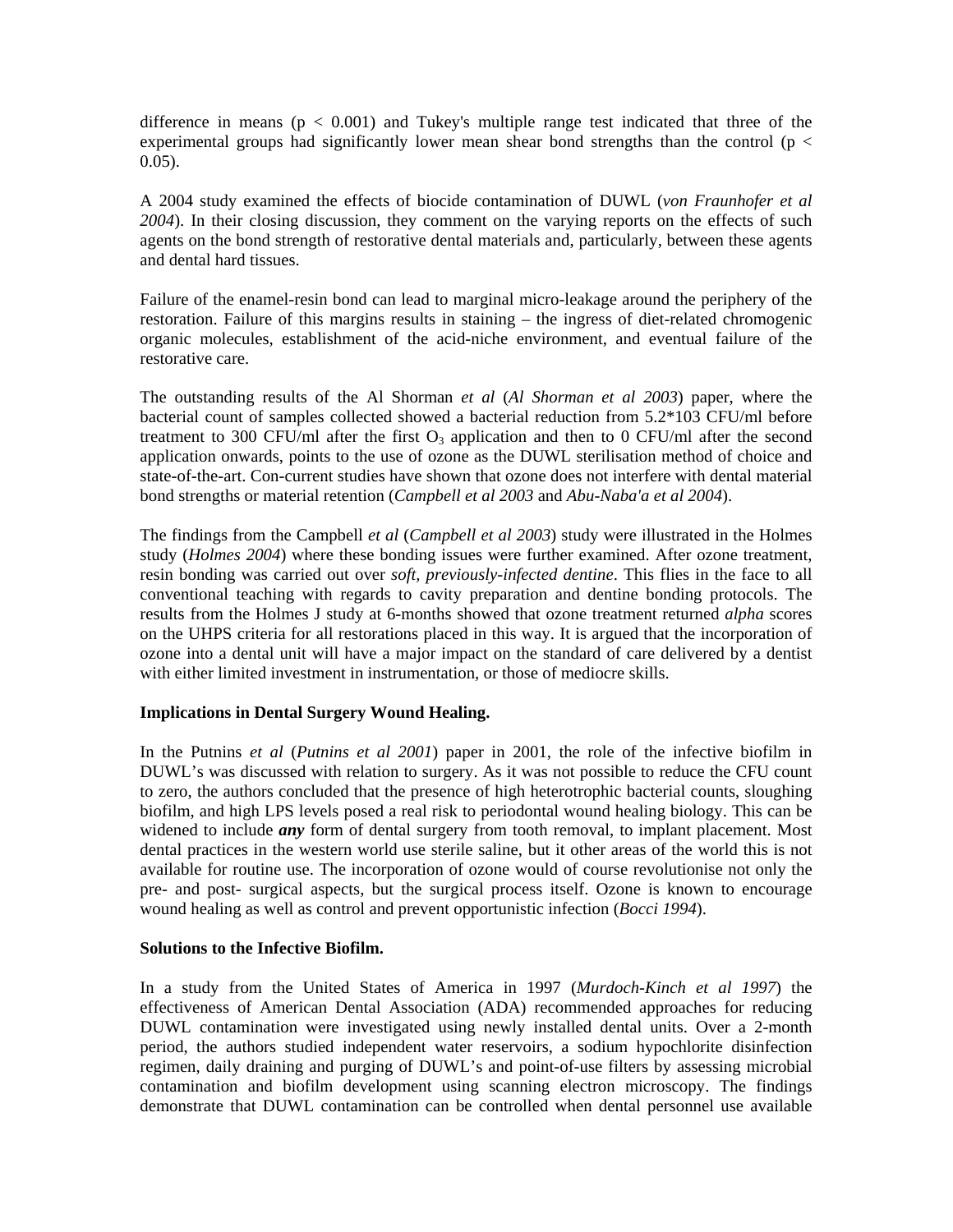difference in means ( $p < 0.001$ ) and Tukey's multiple range test indicated that three of the experimental groups had significantly lower mean shear bond strengths than the control ( $p <$  $0.05$ ).

and dental hard tissues. A 2004 study examined the effects of biocide contamination of DUWL (*von Fraunhofer et al 2004*). In their closing discussion, they comment on the varying reports on the effects of such agents on the bond strength of restorative dental materials and, particularly, between these agents

Failure of the enamel-resin bond can lead to marginal micro-leakage around the periphery of the restoration. Failure of this margins results in staining – the ingress of diet-related chromogenic organic molecules, establishment of the acid-niche environment, and eventual failure of the restorative care.

application onwards, points to the use of ozone as the DUWL sterilisation method of choice and state-of-the-art. Con-current studies have shown that ozone does not interfere with dental material The outstanding results of the Al Shorman *et al* (*Al Shorman et al 2003*) paper, where the bacterial count of samples collected showed a bacterial reduction from 5.2\*103 CFU/ml before treatment to 300 CFU/ml after the first  $O_3$  application and then to 0 CFU/ml after the second bond strengths or material retention (*Campbell et al 2003* and *Abu-Naba'a et al 2004*).

conventional teaching with regards to cavity preparation and dentine bonding protocols. The results from the Holmes J study at 6-months showed that ozone treatment returned *alpha* scores The findings from the Campbell *et al* (*Campbell et al 2003*) study were illustrated in the Holmes study (*Holmes 2004*) where these bonding issues were further examined. After ozone treatment, resin bonding was carried out over *soft, previously-infected dentine*. This flies in the face to all on the UHPS criteria for all restorations placed in this way. It is argued that the incorporation of ozone into a dental unit will have a major impact on the standard of care delivered by a dentist with either limited investment in instrumentation, or those of mediocre skills.

# **Implications in Dental Surgery Wound Healing.**

DUWL's was discussed with relation to surgery. As it was not possible to reduce the CFU count to zero, the authors concluded that the presence of high heterotrophic bacterial counts, sloughing biofilm, and high LPS levels posed a real risk to periodontal wound healing biology. This can be widened to include *any* form of dental surgery from tooth removal, to implant placement. Most In the Putnins *et al* (*Putnins et al 2001*) paper in 2001, the role of the infective biofilm in dental practices in the western world use sterile saline, but it other areas of the world this is not available for routine use. The incorporation of ozone would of course revolutionise not only the pre- and post- surgical aspects, but the surgical process itself. Ozone is known to encourage wound healing as well as control and prevent opportunistic infection (*Bocci 1994*).

#### **Solutions to the Infective Biofilm.**

effectiveness of American Dental Association (ADA) recommended approaches for reducing UWL contamination were investigated using newly installed dental units. Over a 2-month D period, the authors studied independent water reservoirs, a sodium hypochlorite disinfection regimen, daily draining and purging of DUWL's and point-of-use filters by assessing microbial In a study from the United States of America in 1997 (*Murdoch-Kinch et al 1997*) the contamination and biofilm development using scanning electron microscopy. The findings demonstrate that DUWL contamination can be controlled when dental personnel use available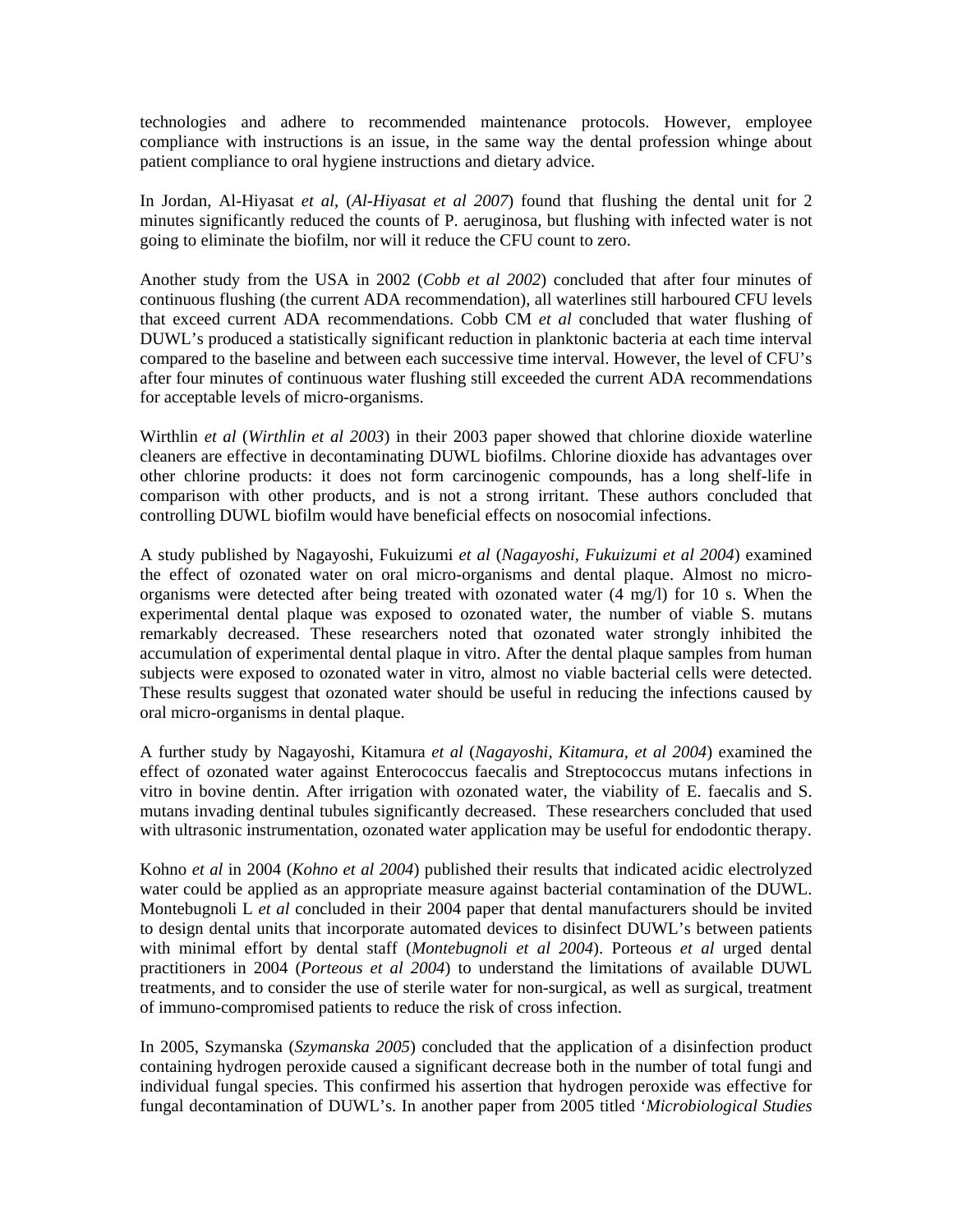technologies and adhere to recommended maintenance protocols. However, employee compliance with instructions is an issue, in the same way the dental profession whinge about patient compliance to oral hygiene instructions and dietary advice.

In Jordan, Al-Hiyasat *et al*, (*Al-Hiyasat et al 2007*) found that flushing the dental unit for 2 minutes significantly reduced the counts of P. aeruginosa, but flushing with infected water is not going to eliminate the biofilm, nor will it reduce the CFU count to zero.

Another study from the USA in 2002 (*Cobb et al 2002*) concluded that after four minutes of DUWL's produced a statistically significant reduction in planktonic bacteria at each time interval ompared to the baseline and between each successive time interval. However, the level of CFU's c continuous flushing (the current ADA recommendation), all waterlines still harboured CFU levels that exceed current ADA recommendations. Cobb CM *et al* concluded that water flushing of after four minutes of continuous water flushing still exceeded the current ADA recommendations for acceptable levels of micro-organisms.

comparison with other products, and is not a strong irritant. These authors concluded that ontrolling DUWL biofilm would have beneficial effects on nosocomial infections. c Wirthlin *et al* (*Wirthlin et al 2003*) in their 2003 paper showed that chlorine dioxide waterline cleaners are effective in decontaminating DUWL biofilms. Chlorine dioxide has advantages over other chlorine products: it does not form carcinogenic compounds, has a long shelf-life in

experimental dental plaque was exposed to ozonated water, the number of viable S. mutans remarkably decreased. These researchers noted that ozonated water strongly inhibited the A study published by Nagayoshi, Fukuizumi *et al* (*Nagayoshi, Fukuizumi et al 2004*) examined the effect of ozonated water on oral micro-organisms and dental plaque. Almost no microorganisms were detected after being treated with ozonated water  $(4 \text{ mg/l})$  for 10 s. When the accumulation of experimental dental plaque in vitro. After the dental plaque samples from human subjects were exposed to ozonated water in vitro, almost no viable bacterial cells were detected. These results suggest that ozonated water should be useful in reducing the infections caused by oral micro-organisms in dental plaque.

mutans invading dentinal tubules significantly decreased. These researchers concluded that used with ultrasonic instrumentation, ozonated water application may be useful for endodontic therapy. A further study by Nagayoshi, Kitamura *et al* (*Nagayoshi, Kitamura, et al 2004*) examined the effect of ozonated water against Enterococcus faecalis and Streptococcus mutans infections in vitro in bovine dentin. After irrigation with ozonated water, the viability of E. faecalis and S.

with minimal effort by dental staff (Montebugnoli et al 2004). Porteous et al urged dental Kohno *et al* in 2004 (*Kohno et al 2004*) published their results that indicated acidic electrolyzed water could be applied as an appropriate measure against bacterial contamination of the DUWL. Montebugnoli L *et al* concluded in their 2004 paper that dental manufacturers should be invited to design dental units that incorporate automated devices to disinfect DUWL's between patients practitioners in 2004 (*Porteous et al 2004*) to understand the limitations of available DUWL treatments, and to consider the use of sterile water for non-surgical, as well as surgical, treatment of immuno-compromised patients to reduce the risk of cross infection.

fungal decontamination of DUWL's. In another paper from 2005 titled 'Microbiological Studies' In 2005, Szymanska (*Szymanska 2005*) concluded that the application of a disinfection product containing hydrogen peroxide caused a significant decrease both in the number of total fungi and individual fungal species. This confirmed his assertion that hydrogen peroxide was effective for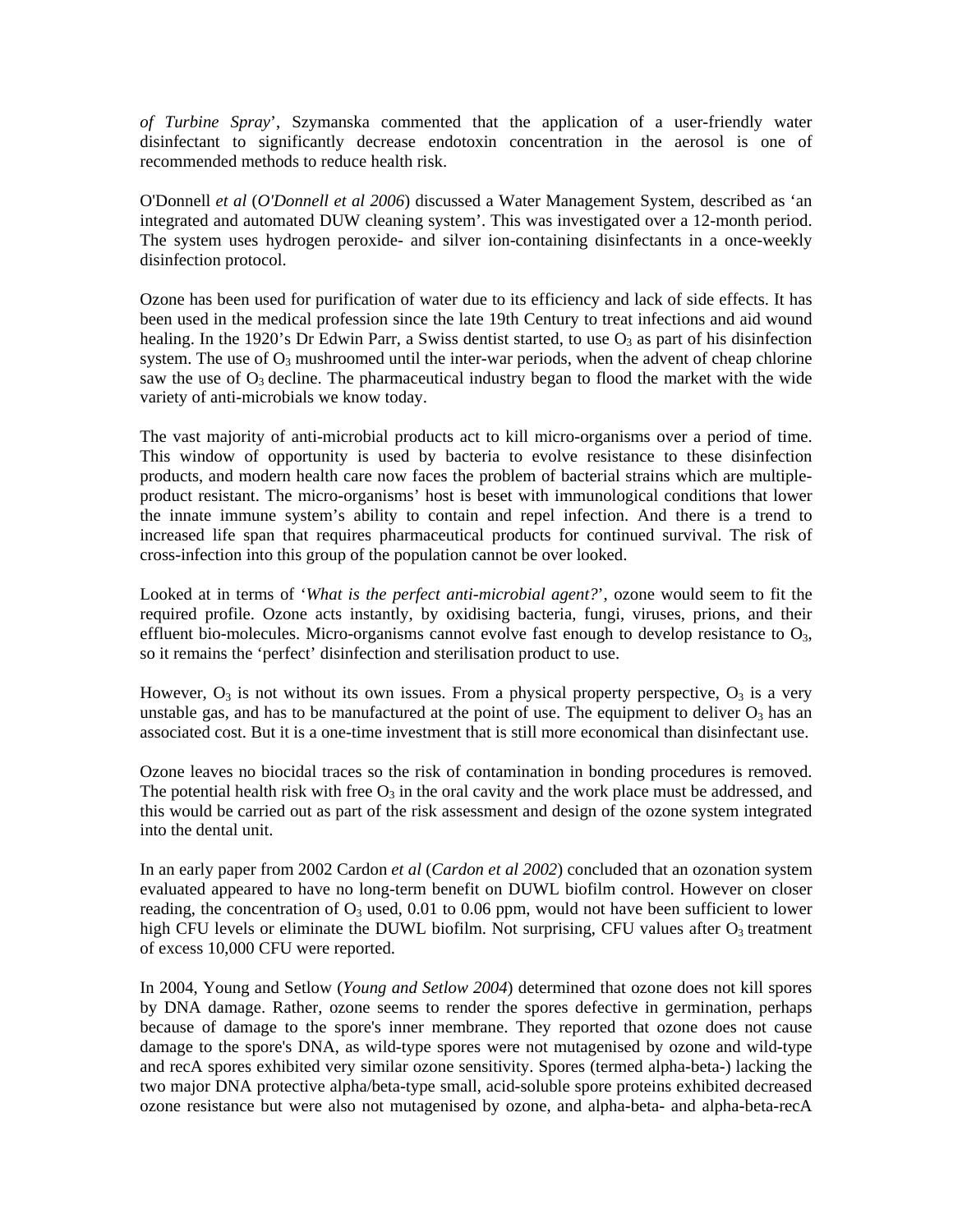*of Turbine Spray*', Szymanska commented that the application of a user-friendly water disinfectant to significantly decrease endotoxin concentration in the aerosol is one of recommended methods to reduce health risk.

O'Donnell *et al* (*O'Donnell et al 2006*) discussed a Water Management System, described as 'an integrated and automated DUW cleaning system'. This was investigated over a 12-month period. The system uses hydrogen peroxide- and silver ion-containing disinfectants in a once-weekly disinfection protocol.

system. The use of  $O_3$  mushroomed until the inter-war periods, when the advent of cheap chlorine saw the use of  $O_3$  decline. The pharmaceutical industry began to flood the market with the wide Ozone has been used for purification of water due to its efficiency and lack of side effects. It has been used in the medical profession since the late 19th Century to treat infections and aid wound healing. In the 1920's Dr Edwin Parr, a Swiss dentist started, to use  $O_3$  as part of his disinfection variety of anti-microbials we know today.

product resistant. The micro-organisms' host is beset with immunological conditions that lower the innate immune system's ability to contain and repel infection. And there is a trend to The vast majority of anti-microbial products act to kill micro-organisms over a period of time. This window of opportunity is used by bacteria to evolve resistance to these disinfection products, and modern health care now faces the problem of bacterial strains which are multipleincreased life span that requires pharmaceutical products for continued survival. The risk of cross-infection into this group of the population cannot be over looked.

Looked at in terms of '*What is the perfect anti-microbial agent?*', ozone would seem to fit the required profile. Ozone acts instantly, by oxidising bacteria, fungi, viruses, prions, and their effluent bio-molecules. Micro-organisms cannot evolve fast enough to develop resistance to  $O_3$ , so it remains the 'perfect' disinfection and sterilisation product to use.

However,  $O_3$  is not without its own issues. From a physical property perspective,  $O_3$  is a very unstable gas, and has to be manufactured at the point of use. The equipment to deliver  $O_3$  has an associated cost. But it is a one-time investment that is still more economical than disinfectant use.

Ozone leaves no biocidal traces so the risk of contamination in bonding procedures is removed. The potential health risk with free  $O_3$  in the oral cavity and the work place must be addressed, and this would be carried out as part of the risk assessment and design of the ozone system integrated into the dental unit.

high CFU levels or eliminate the DUWL biofilm. Not surprising, CFU values after  $O_3$  treatment of excess 10,000 CFU were reported. In an early paper from 2002 Cardon *et al* (*Cardon et al 2002*) concluded that an ozonation system evaluated appeared to have no long-term benefit on DUWL biofilm control. However on closer reading, the concentration of  $O_3$  used, 0.01 to 0.06 ppm, would not have been sufficient to lower

damage to the spore's DNA, as wild-type spores were not mutagenised by ozone and wild-type and recA spores exhibited very similar ozone sensitivity. Spores (termed alpha-beta-) lacking the In 2004, Young and Setlow (*Young and Setlow 2004*) determined that ozone does not kill spores by DNA damage. Rather, ozone seems to render the spores defective in germination, perhaps because of damage to the spore's inner membrane. They reported that ozone does not cause two major DNA protective alpha/beta-type small, acid-soluble spore proteins exhibited decreased ozone resistance but were also not mutagenised by ozone, and alpha-beta- and alpha-beta-recA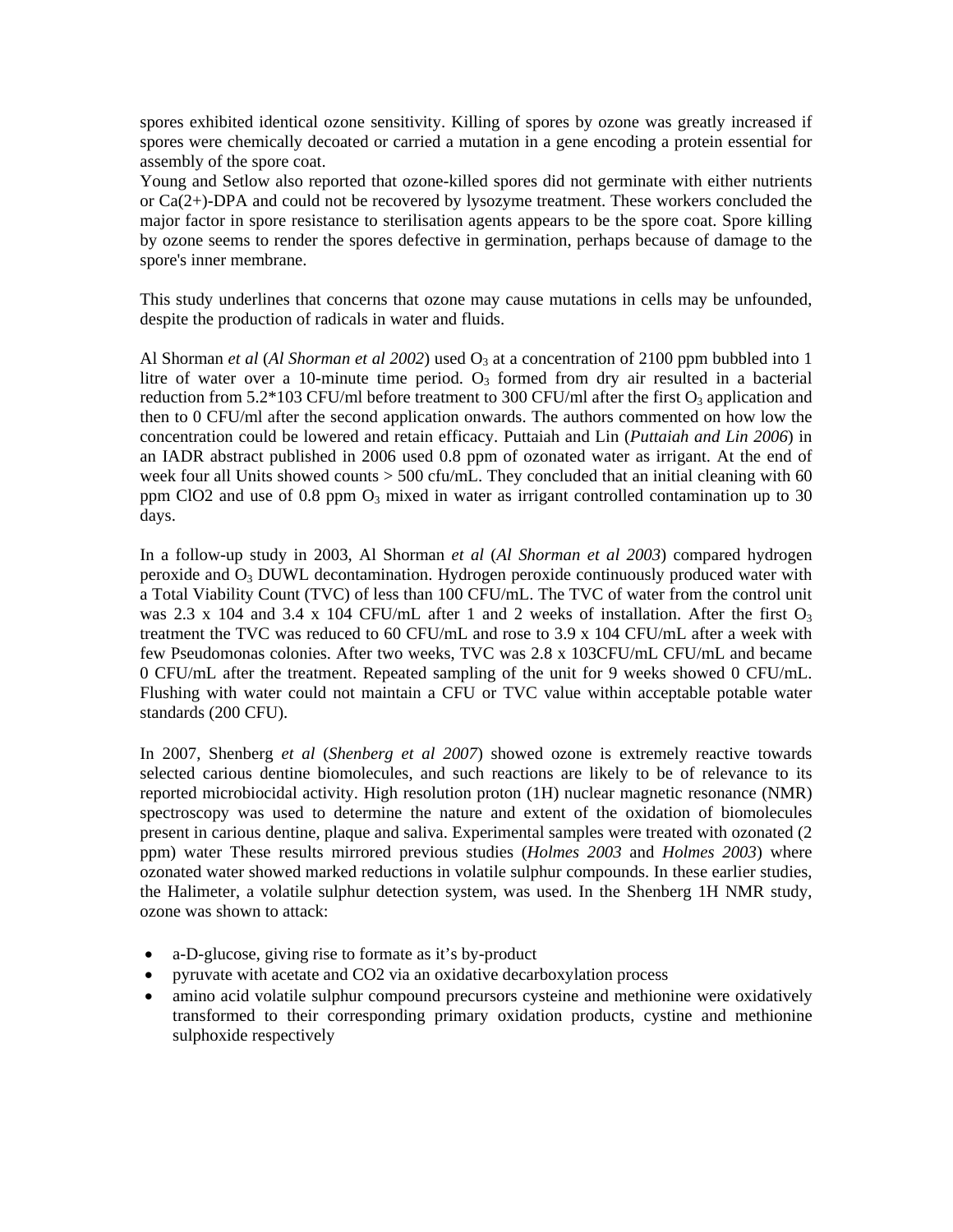spores exhibited identical ozone sensitivity. Killing of spores by ozone was greatly increased if spores were chemically decoated or carried a mutation in a gene encoding a protein essential for assembly of the spore coat.

Young and Setlow also reported that ozone-killed spores did not germinate with either nutrients or  $Ca(2+)$ -DPA and could not be recovered by lysozyme treatment. These workers concluded the major factor in spore resistance to sterilisation agents appears to be the spore coat. Spore killing by ozone seems to render the spores defective in germination, perhaps because of damage to the spore's inner membrane.

This study underlines that concerns that ozone may cause mutations in cells may be unfounded, despite the production of radicals in water and fluids.

Al Shorman *et al* (*Al Shorman et al 2002*) used  $O_3$  at a concentration of 2100 ppm bubbled into 1 litre of water over a 10-minute time period.  $O_3$  formed from dry air resulted in a bacterial then to 0 CFU/ml after the second application onwards. The authors commented on how low the concentration could be lowered and retain efficacy. Puttaiah and Lin (Puttaiah and Lin 2006) in reduction from 5.2\*103 CFU/ml before treatment to 300 CFU/ml after the first  $O_3$  application and an IADR abstract published in 2006 used 0.8 ppm of ozonated water as irrigant. At the end of week four all Units showed counts  $> 500$  cfu/mL. They concluded that an initial cleaning with 60 ppm ClO2 and use of 0.8 ppm  $O_3$  mixed in water as irrigant controlled contamination up to 30 days.

was 2.3 x 104 and 3.4 x 104 CFU/mL after 1 and 2 weeks of installation. After the first  $O_3$ treatment the TVC was reduced to 60 CFU/mL and rose to 3.9 x 104 CFU/mL after a week with In a follow-up study in 2003, Al Shorman *et al* (*Al Shorman et al 2003*) compared hydrogen peroxide and  $O_3$  DUWL decontamination. Hydrogen peroxide continuously produced water with a Total Viability Count (TVC) of less than 100 CFU/mL. The TVC of water from the control unit few Pseudomonas colonies. After two weeks, TVC was 2.8 x 103CFU/mL CFU/mL and became 0 CFU/mL after the treatment. Repeated sampling of the unit for 9 weeks showed 0 CFU/mL. Flushing with water could not maintain a CFU or TVC value within acceptable potable water standards (200 CFU).

spectroscopy was used to determine the nature and extent of the oxidation of biomolecules present in carious dentine, plaque and saliva. Experimental samples were treated with ozonated (2 In 2007, Shenberg *et al* (*Shenberg et al 2007*) showed ozone is extremely reactive towards selected carious dentine biomolecules, and such reactions are likely to be of relevance to its reported microbiocidal activity. High resolution proton (1H) nuclear magnetic resonance (NMR) ppm) water These results mirrored previous studies (*Holmes 2003* and *Holmes 2003*) where ozonated water showed marked reductions in volatile sulphur compounds. In these earlier studies, the Halimeter, a volatile sulphur detection system, was used. In the Shenberg 1H NMR study, ozone was shown to attack:

- a-D-glucose, giving rise to formate as it's by-product
- pyruvate with acetate and CO2 via an oxidative decarboxylation process
- transformed to their corresponding primary oxidation products, cystine and methionine sulphoxide respectively • amino acid volatile sulphur compound precursors cysteine and methionine were oxidatively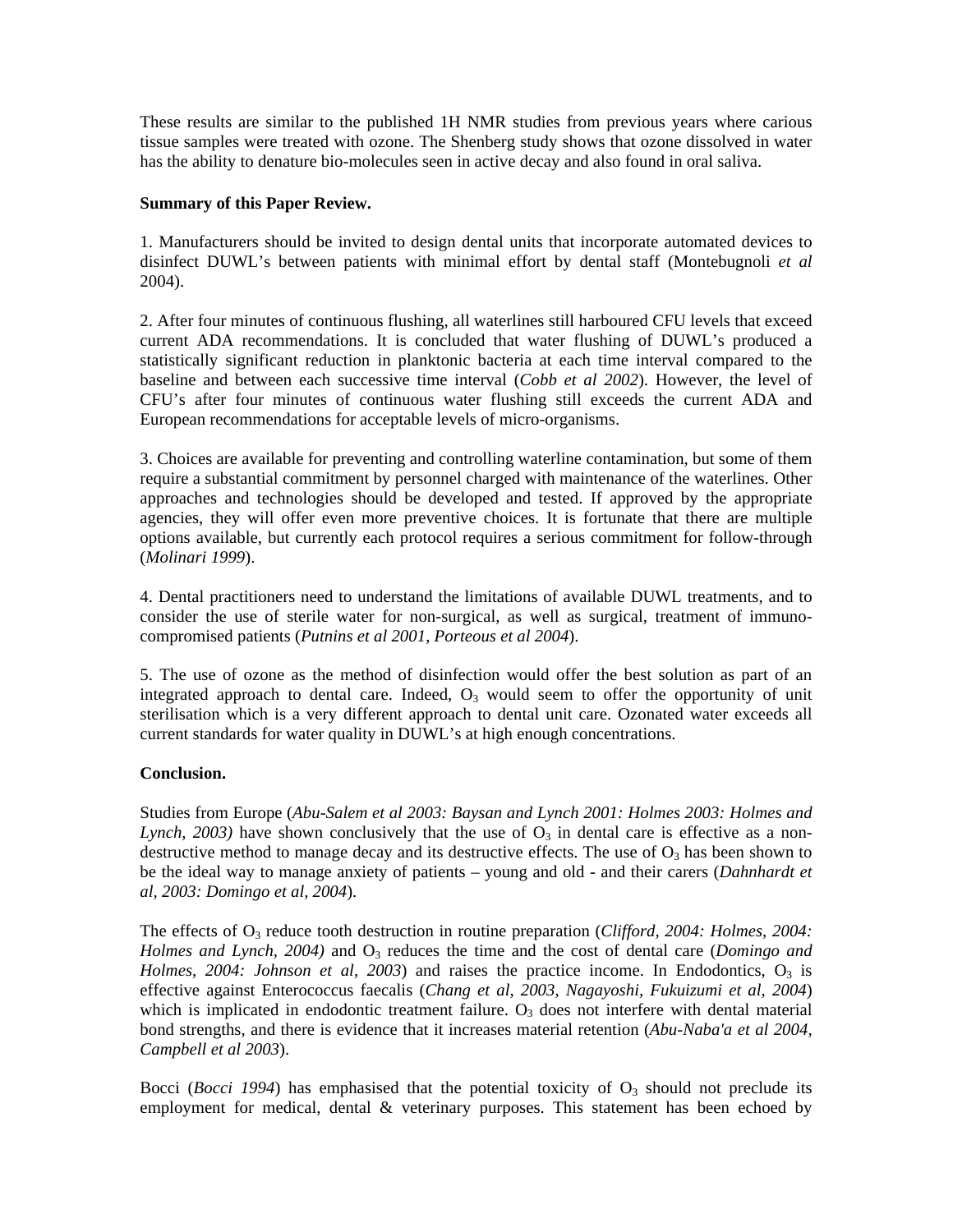These results are similar to the published 1H NMR studies from previous years where carious tissue samples were treated with ozone. The Shenberg study shows that ozone dissolved in water has the ability to denature bio-molecules seen in active decay and also found in oral saliva.

# **Summary of this Paper Review.**

1. Manufacturers should be invited to design dental units that incorporate automated devices to disinfect DUWL's between patients with minimal effort by dental staff (Montebugnoli *et al* 2004).

statistically significant reduction in planktonic bacteria at each time interval compared to the baseline and between each successive time interval (Cobb et al 2002). However, the level of 2. After four minutes of continuous flushing, all waterlines still harboured CFU levels that exceed current ADA recommendations. It is concluded that water flushing of DUWL's produced a CFU's after four minutes of continuous water flushing still exceeds the current ADA and European recommendations for acceptable levels of micro-organisms.

approaches and technologies should be developed and tested. If approved by the appropriate agencies, they will offer even more preventive choices. It is fortunate that there are multiple 3. Choices are available for preventing and controlling waterline contamination, but some of them require a substantial commitment by personnel charged with maintenance of the waterlines. Other options available, but currently each protocol requires a serious commitment for follow-through (*Molinari 1999*).

compromised patients (*Putnins et al 2001*, *Porteous et al 2004*). 4. Dental practitioners need to understand the limitations of available DUWL treatments, and to consider the use of sterile water for non-surgical, as well as surgical, treatment of immuno-

sterilisation which is a very different approach to dental unit care. Ozonated water exceeds all current standards for water quality in DUWL's at high enough concentrations. 5. The use of ozone as the method of disinfection would offer the best solution as part of an integrated approach to dental care. Indeed,  $O_3$  would seem to offer the opportunity of unit

# **Conclusion.**

Studies from Europe (*Abu-Salem et al 2003: Baysan and Lynch 2001: Holmes 2003: Holmes and Lynch*, 2003) have shown conclusively that the use of  $O_3$  in dental care is effective as a nondestructive method to manage decay and its destructive effects. The use of  $O_3$  has been shown to be the ideal way to manage anxiety of patients - young and old - and their carers (*Dahnhardt et al, 2003: Domingo et al, 2004*).

*Holmes, 2004: Johnson et al, 2003*) and raises the practice income. In Endodontics, O<sub>3</sub> is ffective against Enterococcus faecalis (*Chang et al, 2003, Nagayoshi, Fukuizumi et al, 2004*) e The effects of O<sub>3</sub> reduce tooth destruction in routine preparation (*Clifford, 2004: Holmes, 2004: Holmes and Lynch, 2004)* and  $O_3$  reduces the time and the cost of dental care (*Domingo and* which is implicated in endodontic treatment failure.  $O_3$  does not interfere with dental material bond strengths, and there is evidence that it increases material retention (*Abu-Naba'a et al 2004, Campbell et al 2003*).

employment for medical, dental & veterinary purposes. This statement has been echoed by Bocci (*Bocci 1994*) has emphasised that the potential toxicity of  $O<sub>3</sub>$  should not preclude its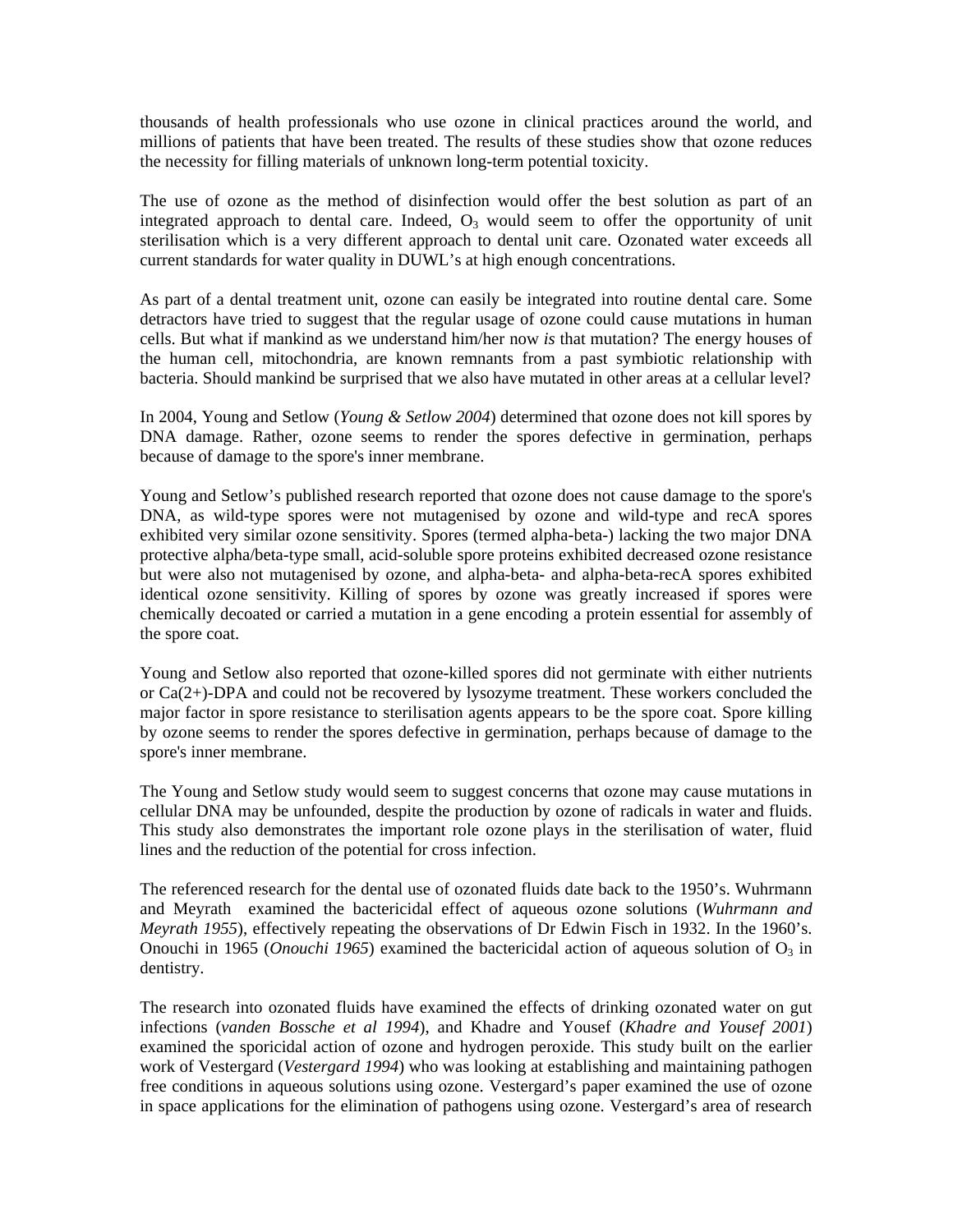thousands of health professionals who use ozone in clinical practices around the world, and millions of patients that have been treated. The results of these studies show that ozone reduces the necessity for filling materials of unknown long-term potential toxicity.

current standards for water quality in DUWL's at high enough concentrations. The use of ozone as the method of disinfection would offer the best solution as part of an integrated approach to dental care. Indeed,  $O_3$  would seem to offer the opportunity of unit sterilisation which is a very different approach to dental unit care. Ozonated water exceeds all

the human cell, mitochondria, are known remnants from a past symbiotic relationship with bacteria. Should mankind be surprised that we also have mutated in other areas at a cellular level? As part of a dental treatment unit, ozone can easily be integrated into routine dental care. Some detractors have tried to suggest that the regular usage of ozone could cause mutations in human cells. But what if mankind as we understand him/her now *is* that mutation? The energy houses of

In 2004, Young and Setlow (*Young & Setlow 2004*) determined that ozone does not kill spores by DNA damage. Rather, ozone seems to render the spores defective in germination, perhaps because of damage to the spore's inner membrane.

Young and Setlow's published research reported that ozone does not cause damage to the spore's protective alpha/beta-type small, acid-soluble spore proteins exhibited decreased ozone resistance but were also not mutagenised by ozone, and alpha-beta- and alpha-beta-recA spores exhibited DNA, as wild-type spores were not mutagenised by ozone and wild-type and recA spores exhibited very similar ozone sensitivity. Spores (termed alpha-beta-) lacking the two major DNA identical ozone sensitivity. Killing of spores by ozone was greatly increased if spores were chemically decoated or carried a mutation in a gene encoding a protein essential for assembly of the spore coat.

by ozone seems to render the spores defective in germination, perhaps because of damage to the spore's inner membrane. Young and Setlow also reported that ozone-killed spores did not germinate with either nutrients or Ca(2+)-DPA and could not be recovered by lysozyme treatment. These workers concluded the major factor in spore resistance to sterilisation agents appears to be the spore coat. Spore killing

lines and the reduction of the potential for cross infection. The Young and Setlow study would seem to suggest concerns that ozone may cause mutations in cellular DNA may be unfounded, despite the production by ozone of radicals in water and fluids. This study also demonstrates the important role ozone plays in the sterilisation of water, fluid

Onouchi in 1965 (*Onouchi 1965*) examined the bactericidal action of aqueous solution of O<sub>3</sub> in dentistry. The referenced research for the dental use of ozonated fluids date back to the 1950's. Wuhrmann and Meyrath examined the bactericidal effect of aqueous ozone solutions (*Wuhrmann and Meyrath 1955*), effectively repeating the observations of Dr Edwin Fisch in 1932. In the 1960's.

work of Vestergard (*Vestergard 1994*) who was looking at establishing and maintaining pathogen free conditions in aqueous solutions using ozone. Vestergard's paper examined the use of ozone in space applications for the elimination of pathogens using ozone. Vestergard's area of research The research into ozonated fluids have examined the effects of drinking ozonated water on gut infections (*vanden Bossche et al 1994*), and Khadre and Yousef (*Khadre and Yousef 2001*) examined the sporicidal action of ozone and hydrogen peroxide. This study built on the earlier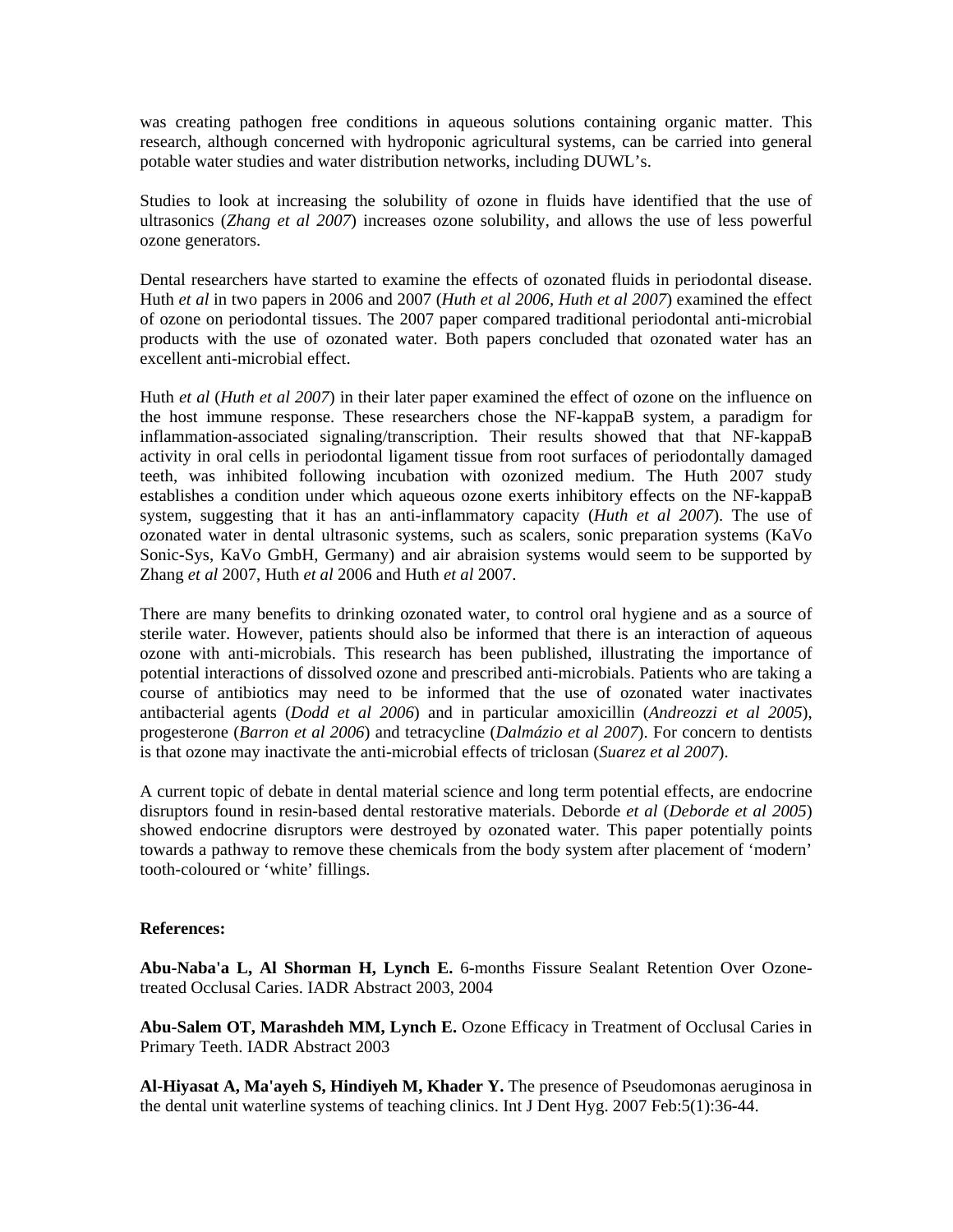was creating pathogen free conditions in aqueous solutions containing organic matter. This research, although concerned with hydroponic agricultural systems, can be carried into general potable water studies and water distribution networks, including DUWL's.

Studies to look at increasing the solubility of ozone in fluids have identified that the use of ultrasonics (*Zhang et al 2007*) increases ozone solubility, and allows the use of less powerful ozone generators.

Dental researchers have started to examine the effects of ozonated fluids in periodontal disease. Huth *et al* in two papers in 2006 and 2007 (*Huth et al 2006, Huth et al 2007*) examined the effect excellent anti-microbial effect. of ozone on periodontal tissues. The 2007 paper compared traditional periodontal anti-microbial products with the use of ozonated water. Both papers concluded that ozonated water has an

teeth, was inhibited following incubation with ozonized medium. The Huth 2007 study establishes a condition under which aqueous ozone exerts inhibitory effects on the NF-kappaB Huth *et al* (*Huth et al 2007*) in their later paper examined the effect of ozone on the influence on the host immune response. These researchers chose the NF-kappaB system, a paradigm for inflammation-associated signaling/transcription. Their results showed that that NF-kappaB activity in oral cells in periodontal ligament tissue from root surfaces of periodontally damaged system, suggesting that it has an anti-inflammatory capacity (*Huth et al 2007*). The use of ozonated water in dental ultrasonic systems, such as scalers, sonic preparation systems (KaVo Sonic-Sys, KaVo GmbH, Germany) and air abraision systems would seem to be supported by Zhang *et al* 2007, Huth *et al* 2006 and Huth *et al* 2007.

course of antibiotics may need to be informed that the use of ozonated water inactivates ntibacterial agents (*Dodd et al 2006*) and in particular amoxicillin (*Andreozzi et al 2005*), a There are many benefits to drinking ozonated water, to control oral hygiene and as a source of sterile water. However, patients should also be informed that there is an interaction of aqueous ozone with anti-microbials. This research has been published, illustrating the importance of potential interactions of dissolved ozone and prescribed anti-microbials. Patients who are taking a progesterone (*Barron et al 2006*) and tetracycline (*Dalmázio et al 2007*). For concern to dentists is that ozone may inactivate the anti-microbial effects of triclosan (*Suarez et al 2007*).

A current topic of debate in dental material science and long term potential effects, are endocrine disruptors found in resin-based dental restorative materials. Deborde *et al* (*Deborde et al 2005*) showed endocrine disruptors were destroyed by ozonated water. This paper potentially points towards a pathway to remove these chemicals from the body system after placement of 'modern' tooth-coloured or 'white' fillings.

#### **References:**

treated Occlusal Caries. IADR Abstract 2003, 2004 **Abu-Naba'a L, Al Shorman H, Lynch E.** 6-months Fissure Sealant Retention Over Ozone-

Abu-Salem OT, Marashdeh MM, Lynch E. Ozone Efficacy in Treatment of Occlusal Caries in Primary Teeth. IADR Abstract 2003

the dental unit waterline systems of teaching clinics. Int J Dent Hyg.  $2007$  Feb:  $5(1)$ :  $36-44$ . **Al-Hiyasat A, Ma'ayeh S, Hindiyeh M, Khader Y.** The presence of Pseudomonas aeruginosa in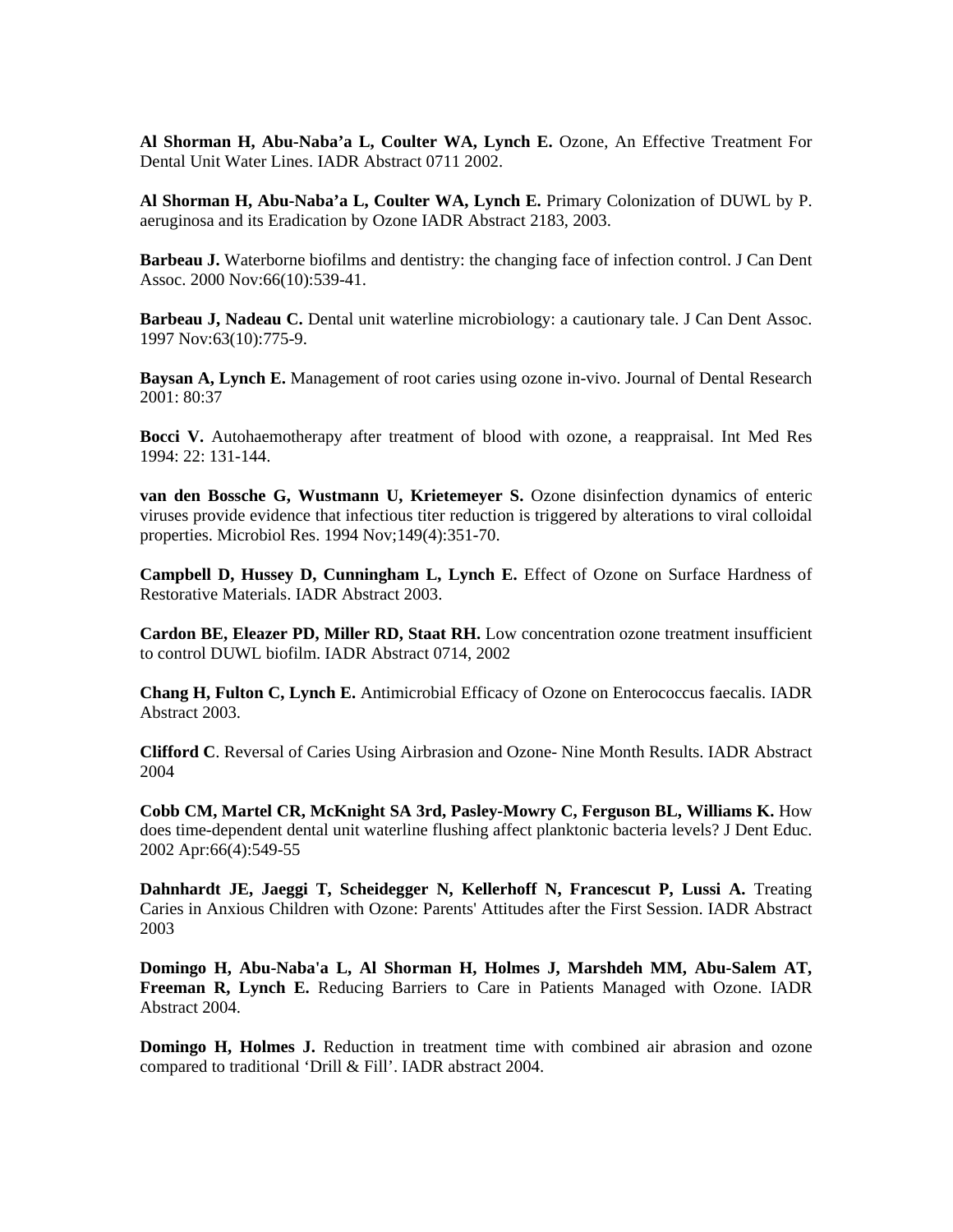**Al Shorman H, Abu-Naba'a L, Coulter WA, Lynch E.** Ozone, An Effective Treatment For Dental Unit Water Lines. IADR Abstract 0711 2002.

**Al Shorman H, Abu-Naba'a L, Coulter WA, Lynch E.** Primary Colonization of DUWL by P. aeruginosa and its Eradication by Ozone IADR Abstract 2183, 2003.

**Barbeau J.** Waterborne biofilms and dentistry: the changing face of infection control. J Can Dent Assoc. 2000 Nov:66(10):539-41.

**Barbeau J, Nadeau C.** Dental unit waterline microbiology: a cautionary tale. J Can Dent Assoc. 1997 Nov:63(10):775-9.

**Baysan A, Lynch E.** Management of root caries using ozone in-vivo. Journal of Dental Research 2001: 80:37

**Bocci V.** Autohaemotherapy after treatment of blood with ozone, a reappraisal. Int Med Res 1994: 22: 131-144.

viruses provide evidence that infectious titer reduction is triggered by alterations to viral colloidal properties. Microbiol Res. 1994 Nov; 149(4): 351-70. **van den Bossche G, Wustmann U, Krietemeyer S.** Ozone disinfection dynamics of enteric

Campbell D, Hussey D, Cunningham L, Lynch E. Effect of Ozone on Surface Hardness of Restorative Materials. IADR Abstract 2003.

 to control DUWL biofilm. IADR Abstract 0714, 2002 **Cardon BE, Eleazer PD, Miller RD, Staat RH.** Low concentration ozone treatment insufficient

**Chang H, Fulton C, Lynch E.** Antimicrobial Efficacy of Ozone on Enterococcus faecalis. IADR Abstract 2003.

**Clifford C**. Reversal of Caries Using Airbrasion and Ozone- Nine Month Results. IADR Abstract 2004

does time-dependent dental unit waterline flushing affect planktonic bacteria levels? J Dent Educ. 2002 Apr:66(4):549-55 **Cobb CM, Martel CR, McKnight SA 3rd, Pasley-Mowry C, Ferguson BL, Williams K.** How

Dahnhardt JE, Jaeggi T, Scheidegger N, Kellerhoff N, Francescut P, Lussi A. Treating Caries in Anxious Children with Ozone: Parents' Attitudes after the First Session. IADR Abstract 2003

Domingo H, Abu-Naba'a L, Al Shorman H, Holmes J, Marshdeh MM, Abu-Salem AT, Freeman R, Lynch E. Reducing Barriers to Care in Patients Managed with Ozone. IADR Abstract 2004.

Domingo H, Holmes J. Reduction in treatment time with combined air abrasion and ozone compared to traditional 'Drill & Fill'. IADR abstract 2004.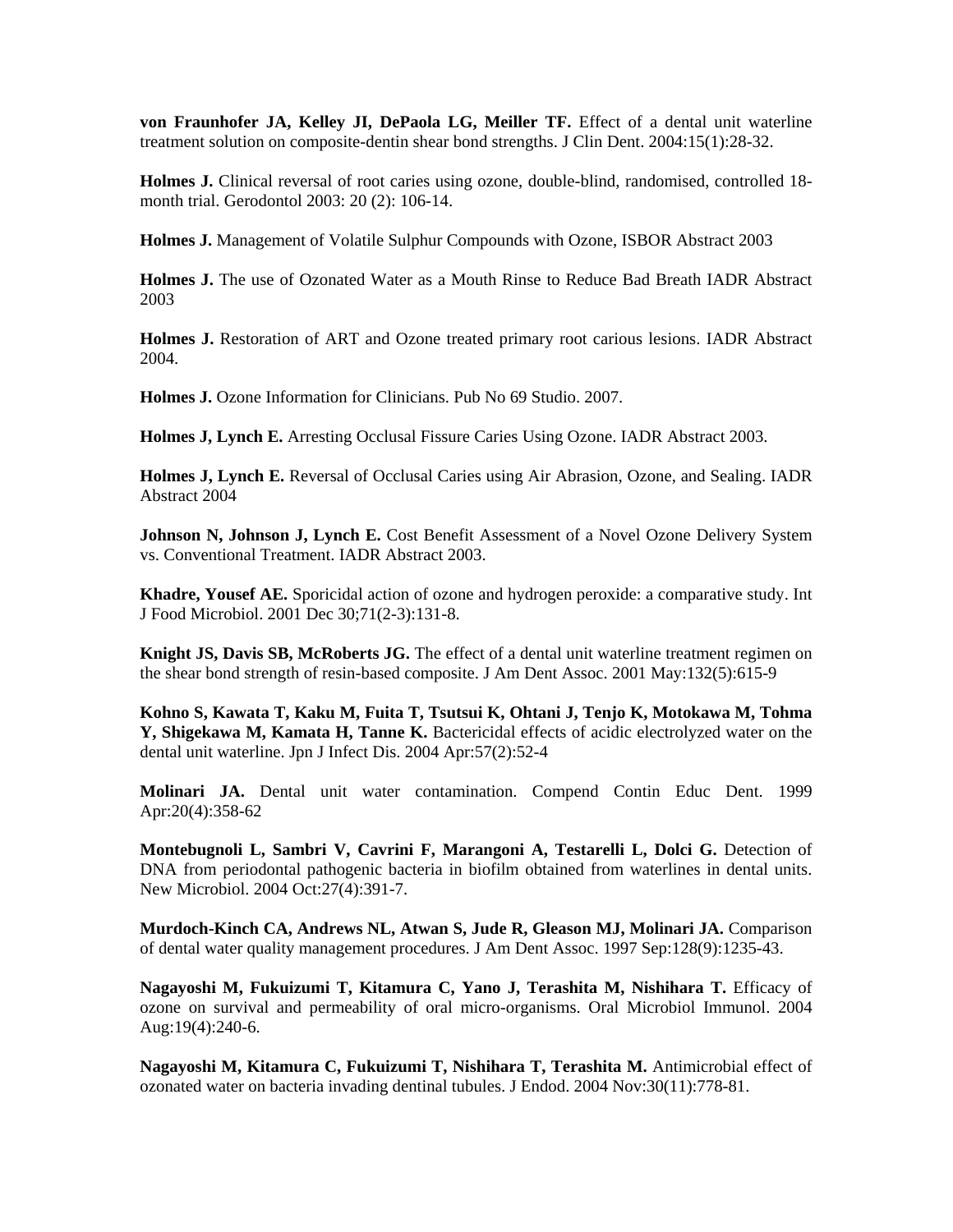**von Fraunhofer JA, Kelley JI, DePaola LG, Meiller TF.** Effect of a dental unit waterline treatment solution on composite-dentin shear bond strengths. J Clin Dent. 2004:15(1):28-32.

**Holmes J.** Clinical reversal of root caries using ozone, double-blind, randomised, controlled 18 month trial. Gerodontol 2003: 20 (2): 106-14.

Holmes J. Management of Volatile Sulphur Compounds with Ozone, ISBOR Abstract 2003

Holmes J. The use of Ozonated Water as a Mouth Rinse to Reduce Bad Breath IADR Abstract 2003

Holmes J. Restoration of ART and Ozone treated primary root carious lesions. IADR Abstract 2004.

Holmes J. Ozone Information for Clinicians. Pub No 69 Studio. 2007.

Holmes J, Lynch E. Arresting Occlusal Fissure Caries Using Ozone. IADR Abstract 2003.

Abstract 2004 **Holmes J, Lynch E.** Reversal of Occlusal Caries using Air Abrasion, Ozone, and Sealing. IADR

Johnson N, Johnson J, Lynch E. Cost Benefit Assessment of a Novel Ozone Delivery System vs. Conventional Treatment. IADR Abstract 2003.

**hadre, Yousef AE.** Sporicidal action of ozone and hydrogen peroxide: a comparative study. Int **K** J Food Microbiol. 2001 Dec 30;71(2-3):131-8.

**night JS, Davis SB, McRoberts JG.** The effect of a dental unit waterline treatment regimen on **K** the shear bond strength of resin-based composite. J Am Dent Assoc. 2001 May:132(5):615-9

**ohno S, Kawata T, Kaku M, Fuita T, Tsutsui K, Ohtani J, Tenjo K, Motokawa M, Tohma K** dental unit waterline. Jpn J Infect Dis. 2004 Apr:57(2):52-4 **Y, Shigekawa M, Kamata H, Tanne K.** Bactericidal effects of acidic electrolyzed water on the

**Molinari JA.** Dental unit water contamination. Compend Contin Educ Dent. 1999 Apr:20(4):358-62

**Montebugnoli L, Sambri V, Cavrini F, Marangoni A, Testarelli L, Dolci G.** Detection of DNA from periodontal pathogenic bacteria in biofilm obtained from waterlines in dental units. New Microbiol. 2004 Oct:27(4):391-7.

of dental water quality management procedures. J Am Dent Assoc. 1997 Sep:128(9):1235-43. **Murdoch-Kinch CA, Andrews NL, Atwan S, Jude R, Gleason MJ, Molinari JA.** Comparison

**Nagayoshi M, Fukuizumi T, Kitamura C, Yano J, Terashita M, Nishihara T.** Efficacy of ozone on survival and permeability of oral micro-organisms. Oral Microbiol Immunol. 2004 Aug:19(4):240-6.

**Nagayoshi M, Kitamura C, Fukuizumi T, Nishihara T, Terashita M.** Antimicrobial effect of ozonated water on bacteria invading dentinal tubules. J Endod. 2004 Nov:30(11):778-81.